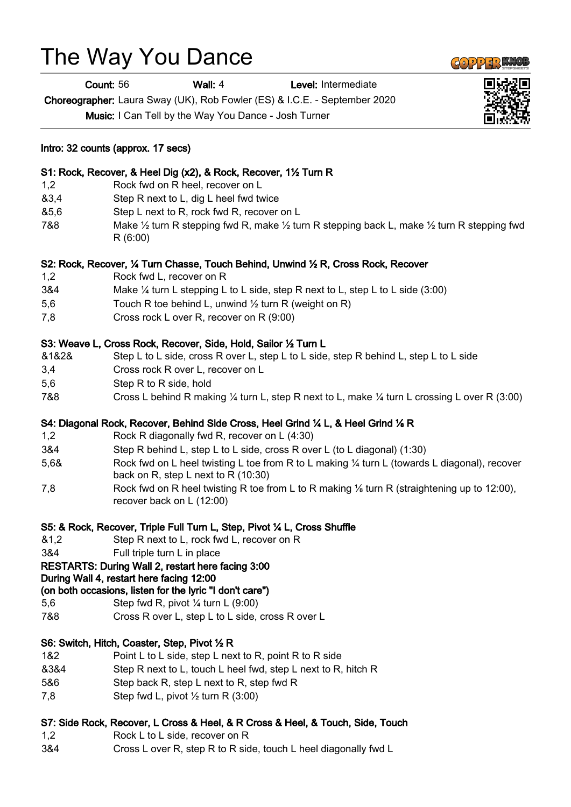# The Way You Dance

Count: 56 Wall: 4 Level: Intermediate

Choreographer: Laura Sway (UK), Rob Fowler (ES) & I.C.E. - September 2020

Music: I Can Tell by the Way You Dance - Josh Turner

## Intro: 32 counts (approx. 17 secs)

# S1: Rock, Recover, & Heel Dig (x2), & Rock, Recover, 1½ Turn R

- 1,2 Rock fwd on R heel, recover on L
- &3,4 Step R next to L, dig L heel fwd twice
- &5,6 Step L next to R, rock fwd R, recover on L
- 7&8 Make  $\frac{1}{2}$  turn R stepping fwd R, make  $\frac{1}{2}$  turn R stepping back L, make  $\frac{1}{2}$  turn R stepping fwd R (6:00)

#### S2: Rock, Recover, ¼ Turn Chasse, Touch Behind, Unwind ½ R, Cross Rock, Recover

- 1,2 Rock fwd L, recover on R
- 3&4 Make ¼ turn L stepping L to L side, step R next to L, step L to L side (3:00)
- 5,6 Touch R toe behind L, unwind ½ turn R (weight on R)
- 7,8 Cross rock L over R, recover on R (9:00)

#### S3: Weave L, Cross Rock, Recover, Side, Hold, Sailor ½ Turn L

- &1&2& Step L to L side, cross R over L, step L to L side, step R behind L, step L to L side
- 3,4 Cross rock R over L, recover on L
- 5,6 Step R to R side, hold
- 7&8 Cross L behind R making ¼ turn L, step R next to L, make ¼ turn L crossing L over R (3:00)

#### S4: Diagonal Rock, Recover, Behind Side Cross, Heel Grind ¼ L, & Heel Grind ⅛ R

- 1,2 Rock R diagonally fwd R, recover on L (4:30)
- 3&4 Step R behind L, step L to L side, cross R over L (to L diagonal) (1:30)
- 5,6& Rock fwd on L heel twisting L toe from R to L making ¼ turn L (towards L diagonal), recover back on R, step L next to R (10:30)
- 7.8 Rock fwd on R heel twisting R toe from L to R making 1/<sub>8</sub> turn R (straightening up to 12:00), recover back on L (12:00)

#### S5: & Rock, Recover, Triple Full Turn L, Step, Pivot ¼ L, Cross Shuffle

- &1,2 Step R next to L, rock fwd L, recover on R
- 3&4 Full triple turn L in place

# RESTARTS: During Wall 2, restart here facing 3:00

#### During Wall 4, restart here facing 12:00

#### (on both occasions, listen for the lyric "I don't care")

- 5,6 Step fwd R, pivot ¼ turn L (9:00)
- 7&8 Cross R over L, step L to L side, cross R over L

#### S6: Switch, Hitch, Coaster, Step, Pivot ½ R

- 1&2 Point L to L side, step L next to R, point R to R side
- &3&4 Step R next to L, touch L heel fwd, step L next to R, hitch R
- 5&6 Step back R, step L next to R, step fwd R
- 7,8 Step fwd L, pivot ½ turn R (3:00)

#### S7: Side Rock, Recover, L Cross & Heel, & R Cross & Heel, & Touch, Side, Touch

- 1,2 Rock L to L side, recover on R
- 3&4 Cross L over R, step R to R side, touch L heel diagonally fwd L